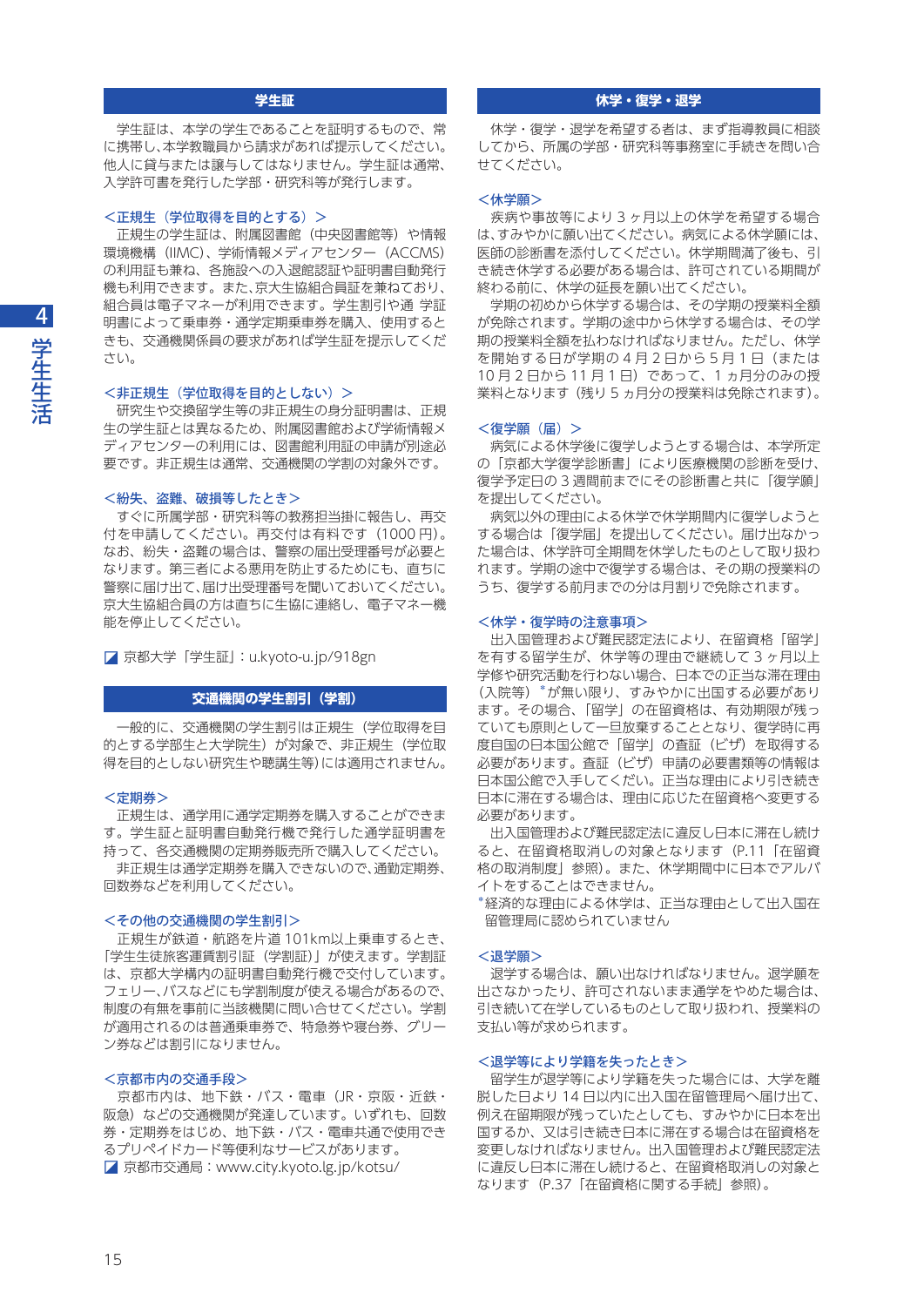# **学生証**

 学生証は、本学の学生であることを証明するもので、常 に携帯し、本学教職員から請求があれば提示してください。 他人に貸与または譲与してはなりません。学生証は通常、 入学許可書を発行した学部・研究科等が発行します。

## <正規生(学位取得を目的とする)>

 正規生の学生証は、附属図書館(中央図書館等)や情報 環境機構(IIMC)、学術情報メディアセンター(ACCMS) の利用証も兼ね、各施設への入退館認証や証明書自動発行 機も利用できます。また、京大生協組合員証を兼ねており、 組合員は電子マネーが利用できます。学生割引や通 学証 明書によって乗車券・通学定期乗車券を購入、使用すると きも、交通機関係員の要求があれば学生証を提示してくだ さい。

## <非正規生(学位取得を目的としない) >

 研究生や交換留学生等の非正規生の身分証明書は、正規 生の学生証とは異なるため、附属図書館および学術情報メ ディアセンターの利用には、図書館利用証の申請が別途必 要です。非正規生は通常、交通機関の学割の対象外です。

# <紛失、盗難、破損等したとき>

 すぐに所属学部・研究科等の教務担当掛に報告し、再交 付を申請してください。再交付は有料です(1000 円)。 なお、紛失・盗難の場合は、警察の届出受理番号が必要と なります。第三者による悪用を防止するためにも、直ちに 警察に届け出て、届け出受理番号を聞いておいてください。 京大生協組合員の方は直ちに生協に連絡し、電子マネー機 能を停止してください。

◪ 京都大学「学生証」[:u.kyoto-u.jp/918gn](http://u.kyoto-u.jp/918gn)

## **交通機関の学生割引(学割)**

 一般的に、交通機関の学生割引は正規生(学位取得を目 的とする学部生と大学院生)が対象で、非正規生(学位取 得を目的としない研究生や聴講生等)には適用されません。

## <定期券>

 正規生は、通学用に通学定期券を購入することができま す。学生証と証明書自動発行機で発行した通学証明書を 持って、各交通機関の定期券販売所で購入してください。 非正規生は通学定期券を購入できないので、通勤定期券、

回数券などを利用してください。

## <その他の交通機関の学生割引>

 正規生が鉄道・航路を片道 101km以上乗車するとき、 「学生生徒旅客運賃割引証(学割証)」が使えます。学割証 は、京都大学構内の証明書自動発行機で交付しています。 フェリー、バスなどにも学割制度が使える場合があるので、 制度の有無を事前に当該機関に問い合せてください。学割 が適用されるのは普通乗車券で、特急券や寝台券、グリー ン券などは割引になりません。

## <京都市内の交通手段>

 京都市内は、地下鉄・バス・電車(JR・京阪・近鉄・ 阪急)などの交通機関が発達しています。いずれも、回数 券・定期券をはじめ、地下鉄・バス・電車共通で使用でき るプリペイドカード等便利なサービスがあります。 ◪ 京都市交通局[:www.city.kyoto.lg.jp/kotsu/](http://www.city.kyoto.lg.jp/kotsu/)

# **休学・復学・退学**

 休学・復学・退学を希望する者は、まず指導教員に相談 してから、所属の学部・研究科等事務室に手続きを問い合 せてください。

## <休学願>

 疾病や事故等により 3 ヶ月以上の休学を希望する場合 は、すみやかに願い出てください。病気による休学願には、 医師の診断書を添付してください。休学期間満了後も、引 き続き休学する必要がある場合は、許可されている期間が 終わる前に、休学の延長を願い出てください。

 学期の初めから休学する場合は、その学期の授業料全額 が免除されます。学期の途中から休学する場合は、その学 期の授業料全額を払わなければなりません。ただし、休学 を開始する日が学期の 4 月 2 日から 5 月 1 日(または 10 月 2 日から 11 月 1 日)であって、1 ヵ月分のみの授 業料となります(残り 5 ヵ月分の授業料は免除されます)。

## <復学願(届)>

 病気による休学後に復学しようとする場合は、本学所定 の「京都大学復学診断書」により医療機関の診断を受け、 復学予定日の 3 週間前までにその診断書と共に「復学願」 を提出してください。

 病気以外の理由による休学で休学期間内に復学しようと する場合は「復学届」を提出してください。届け出なかっ た場合は、休学許可全期間を休学したものとして取り扱わ れます。学期の途中で復学する場合は、その期の授業料の うち、復学する前月までの分は月割りで免除されます。

## <休学・復学時の注意事項>

 出入国管理および難民認定法により、在留資格「留学」 を有する留学生が、休学等の理由で継続して 3 ヶ月以上 学修や研究活動を行わない場合、日本での正当な滞在理由 (入院等)\*が無い限り、すみやかに出国する必要があり ます。その場合、「留学」の在留資格は、有効期限が残っ ていても原則として一旦放棄することとなり、復学時に再 度自国の日本国公館で「留学」の査証(ビザ)を取得する 必要があります。査証(ビザ)申請の必要書類等の情報は 日本国公館で入手してくだい。正当な理由により引き続き 日本に滞在する場合は、理由に応じた在留資格へ変更する 必要があります。

 出入国管理および難民認定法に違反し日本に滞在し続け ると、在留資格取消しの対象となります(P.11「在留資 格の取消制度」参照)。また、休学期間中に日本でアルバ イトをすることはできません。

\*経済的な理由による休学は、正当な理由として出入国在 留管理局に認められていません

## <退学願>

 退学する場合は、願い出なければなりません。退学願を 出さなかったり、許可されないまま通学をやめた場合は、 引き続いて在学しているものとして取り扱われ、授業料の 支払い等が求められます。

## <退学等により学籍を失ったとき>

 留学生が退学等により学籍を失った場合には、大学を離 脱した日より 14 日以内に出入国在留管理局へ届け出て、 例え在留期限が残っていたとしても、すみやかに日本を出 国するか、又は引き続き日本に滞在する場合は在留資格を 変更しなければなりません。出入国管理および難民認定法 に違反し日本に滞在し続けると、在留資格取消しの対象と なります(P.37「在留資格に関する手続」参照)。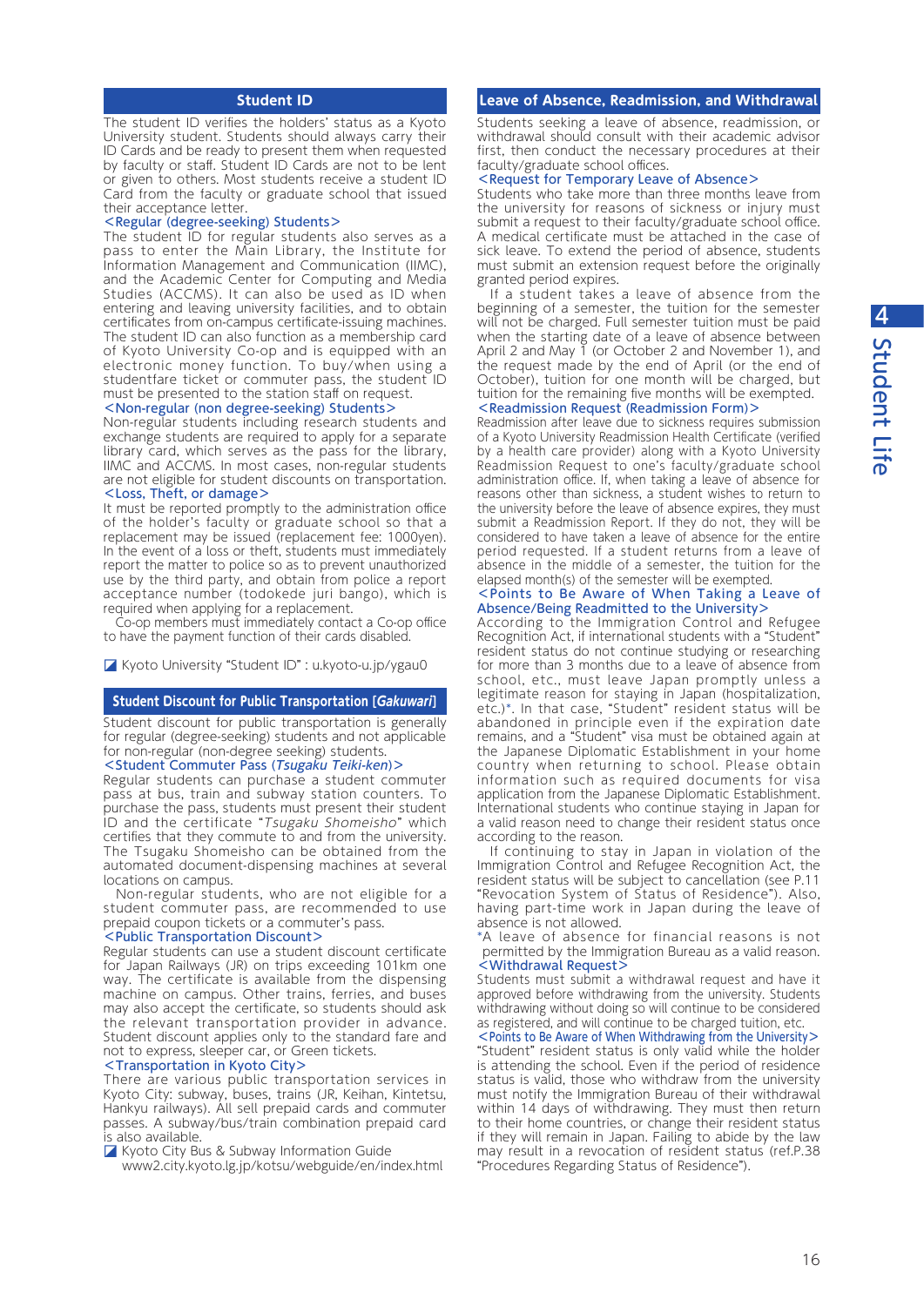# **Student ID**

The student ID verifies the holders' status as a Kyoto University student. Students should always carry their ID Cards and be ready to present them when requested by faculty or staff. Student ID Cards are not to be lent or given to others. Most students receive a student ID Card from the faculty or graduate school that issued their acceptance letter.

## <Regular (degree-seeking) Students>

The student ID for regular students also serves as a pass to enter the Main Library, the Institute for Information Management and Communication (IIMC), and the Academic Center for Computing and Media Studies (ACCMS). It can also be used as ID when entering and leaving university facilities, and to obtain certificates from on-campus certificate-issuing machines. The student ID can also function as a membership card of Kyoto University Co-op and is equipped with an electronic money function. To buy/when using a studentfare ticket or commuter pass, the student ID must be presented to the station staff on request.

## <Non-regular (non degree-seeking) Students>

Non-regular students including research students and exchange students are required to apply for a separate library card, which serves as the pass for the library, IIMC and ACCMS. In most cases, non-regular students are not eligible for student discounts on transportation. <Loss, Theft, or damage>

It must be reported promptly to the administration office of the holder's faculty or graduate school so that a replacement may be issued (replacement fee: 1000yen). In the event of a loss or theft, students must immediately report the matter to police so as to prevent unauthorized use by the third party, and obtain from police a report acceptance number (todokede juri bango), which is required when applying for a replacement.

Co-op members must immediately contact a Co-op office to have the payment function of their cards disabled.

◪ Kyoto University "Student ID" : [u.kyoto-u.jp/ygau0](http://u.kyoto-u.jp/ygau0)

### **Student Discount for Public Transportation [Gakuwari]**

Student discount for public transportation is generally for regular (degree-seeking) students and not applicable for non-regular (non-degree seeking) students.

## <Student Commuter Pass (Tsugaku Teiki-ken)>

Regular students can purchase a student commuter pass at bus, train and subway station counters. To purchase the pass, students must present their student ID and the certificate "Tsugaku Shomeisho" which certifies that they commute to and from the university. The Tsugaku Shomeisho can be obtained from the automated document-dispensing machines at several locations on campus.

 Non-regular students, who are not eligible for a student commuter pass, are recommended to use prepaid coupon tickets or a commuter's pass.

## <Public Transportation Discount>

Regular students can use a student discount certificate for Japan Railways (JR) on trips exceeding 101km one way. The certificate is available from the dispensing machine on campus. Other trains, ferries, and buses may also accept the certificate, so students should ask the relevant transportation provider in advance. Student discount applies only to the standard fare and not to express, sleeper car, or Green tickets.

## <Transportation in Kyoto City>

There are various public transportation services in Kyoto City: subway, buses, trains (JR, Keihan, Kintetsu, Hankyu railways). All sell prepaid cards and commuter passes. A subway/bus/train combination prepaid card is also available.

◪ Kyoto City Bus & Subway Information Guide

[www2.city.kyoto.lg.jp/kotsu/webguide/en/index.html](http://www2.city.kyoto.lg.jp/kotsu/webguide/en/index.html)

# **Leave of Absence, Readmission, and Withdrawal**

Students seeking a leave of absence, readmission, or withdrawal should consult with their academic advisor first, then conduct the necessary procedures at their faculty/graduate school offices.

# <Request for Temporary Leave of Absence>

Students who take more than three months leave from the university for reasons of sickness or injury must submit a request to their faculty/graduate school office. A medical certificate must be attached in the case of sick leave. To extend the period of absence, students must submit an extension request before the originally granted period expires.

 If a student takes a leave of absence from the beginning of a semester, the tuition for the semester will not be charged. Full semester tuition must be paid when the starting date of a leave of absence between April 2 and May  $\overline{1}$  (or October 2 and November 1), and the request made by the end of April (or the end of October), tuition for one month will be charged, but tuition for the remaining five months will be exempted. <Readmission Request (Readmission Form)>

Readmission after leave due to sickness requires submission of a Kyoto University Readmission Health Certificate (verified by a health care provider) along with a Kyoto University Readmission Request to one's faculty/graduate school administration office. If, when taking a leave of absence for reasons other than sickness, a student wishes to return to the university before the leave of absence expires, they must submit a Readmission Report. If they do not, they will be considered to have taken a leave of absence for the entire period requested. If a student returns from a leave of absence in the middle of a semester, the tuition for the elapsed month(s) of the semester will be exempted.

#### <Points to Be Aware of When Taking a Leave of Absence/Being Readmitted to the University>

According to the Immigration Control and Refugee Recognition Act, if international students with a "Student" resident status do not continue studying or researching for more than 3 months due to a leave of absence from school, etc., must leave Japan promptly unless a legitimate reason for staying in Japan (hospitalization, etc.)\*. In that case, "Student" resident status will be abandoned in principle even if the expiration date remains, and a "Student" visa must be obtained again at the Japanese Diplomatic Establishment in your home country when returning to school. Please obtain information such as required documents for visa application from the Japanese Diplomatic Establishment. International students who continue staying in Japan for a valid reason need to change their resident status once according to the reason.

 If continuing to stay in Japan in violation of the Immigration Control and Refugee Recognition Act, the resident status will be subject to cancellation (see P.11 "Revocation System of Status of Residence"). Also, having part-time work in Japan during the leave of absence is not allowed.

\*A leave of absence for financial reasons is not permitted by the Immigration Bureau as a valid reason. <Withdrawal Request>

Students must submit a withdrawal request and have it approved before withdrawing from the university. Students withdrawing without doing so will continue to be considered as registered, and will continue to be charged tuition, etc.

<Points to Be Aware of When Withdrawing from the University> "Student" resident status is only valid while the holder is attending the school. Even if the period of residence status is valid, those who withdraw from the university must notify the Immigration Bureau of their withdrawal within 14 days of withdrawing. They must then return to their home countries, or change their resident status if they will remain in Japan. Failing to abide by the law may result in a revocation of resident status (ref.P.38 "Procedures Regarding Status of Residence").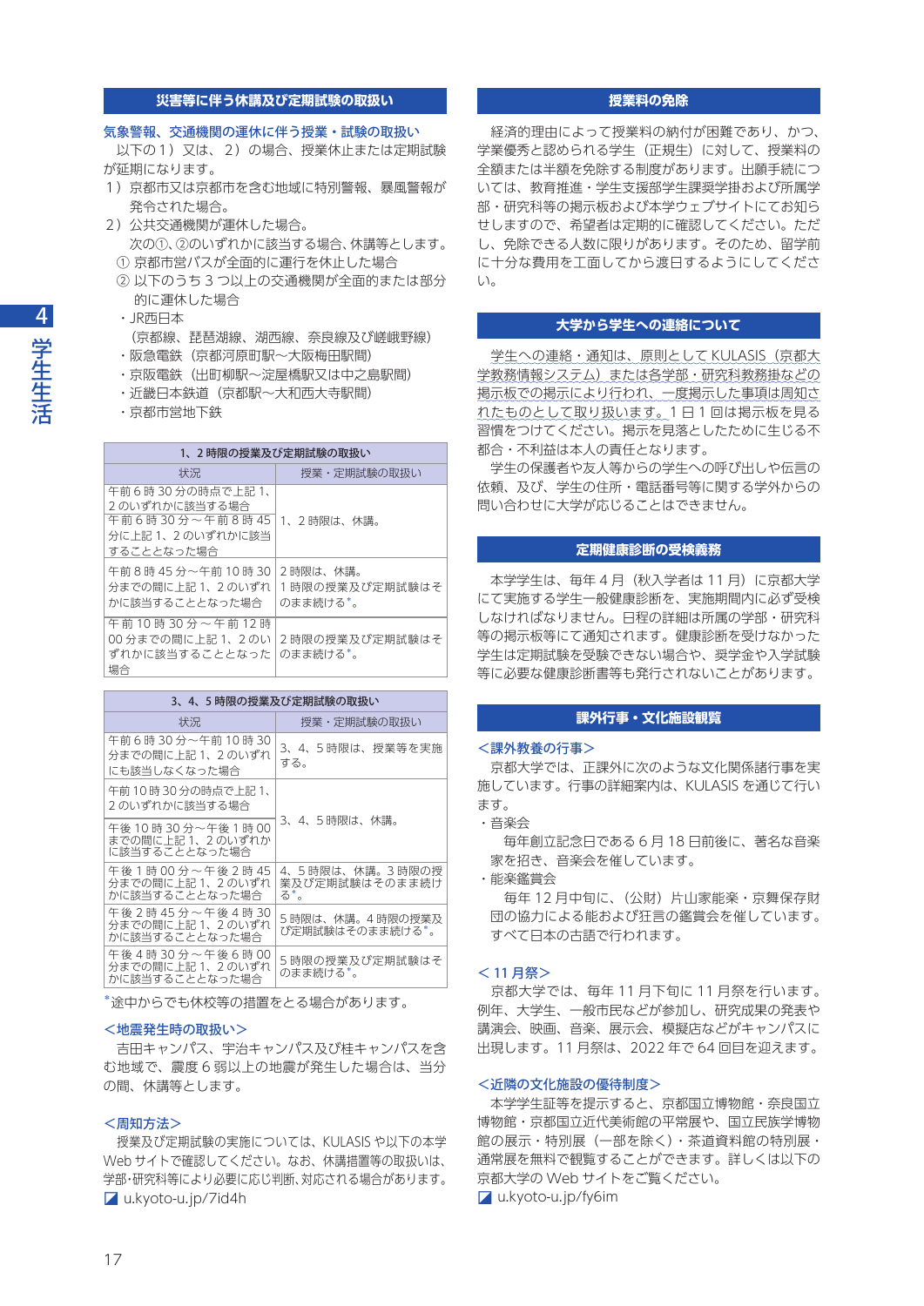# **災害等に伴う休講及び定期試験の取扱い**

## 気象警報、交通機関の運休に伴う授業・試験の取扱い

 以下の1)又は、2)の場合、授業休止または定期試験 が延期になります。

- 1)京都市又は京都市を含む地域に特別警報、暴風警報が 発令された場合。
- 2) 公共交通機関が運休した場合。 次の①、②のいずれかに該当する場合、休講等とします。
	- ① 京都市営バスが全面的に運行を休止した場合
- ② 以下のうち 3 つ以上の交通機関が全面的または部分 的に運休した場合
- ・JR西日本
- (京都線、琵琶湖線、湖西線、奈良線及び嵯峨野線)
- ・阪急電鉄(京都河原町駅〜大阪梅田駅間)
- ・京阪電鉄(出町柳駅〜淀屋橋駅又は中之島駅間)
- ・近畿日本鉄道(京都駅〜大和西大寺駅間)
- ・京都市営地下鉄

| 1、2時限の授業及び定期試験の取扱い                                                                  |                                        |  |
|-------------------------------------------------------------------------------------|----------------------------------------|--|
| 状況                                                                                  | 授業・定期試験の取扱い                            |  |
| 午前6時30分の時点で上記1、<br>2のいずれかに該当する場合<br>午前6時30分~午前8時45<br>分に上記1、2のいずれかに該当<br>することとなった場合 | 1、2時限は、休講。                             |  |
| 午前8時45分~午前10時30<br>分までの間に上記1、2のいずれ<br>かに該当することとなった場合                                | 2時限は、休講。<br>1時限の授業及び定期試験はそ<br>のまま続ける*。 |  |
| 午前10時30分~午前12時<br>00 分までの間に上記 1、2 のい<br>ずれかに該当することとなった<br>場合                        | 2時限の授業及び定期試験はそ<br>のまま続ける*。             |  |

| 3、4、5 時限の授業及び定期試験の取扱い                                        |                                          |  |
|--------------------------------------------------------------|------------------------------------------|--|
| 状況                                                           | 授業・定期試験の取扱い                              |  |
| 午前6時30分~午前10時30<br>分までの間に上記 1、2 のいずれ<br>にも該当しなくなった場合         | 3、4、5 時限は、授業等を実施<br>する。                  |  |
| 午前 10 時 30 分の時点で上記 1、<br>2のいずれかに該当する場合                       | 3、4、5 時限は、休講。                            |  |
| 午後 10 時 30 分~午後 1 時 00<br>までの間に上記 1、2 のいずれか<br>に該当することとなった場合 |                                          |  |
| 午後1時00分~午後2時45<br>分までの間に上記 1、2のいずれ<br>かに該当することとなった場合         | 4、5時限は、休講。3時限の授<br>業及び定期試験はそのまま続け<br>る*。 |  |
| 午後2時45分~午後4時30<br>分までの間に上記 1、2のいずれ<br>かに該当することとなった場合         | 5 時限は、休講。4 時限の授業及<br>び定期試験はそのまま続ける*。     |  |
| 午後4時30分〜午後6時00<br>分までの間に上記 1、2のいずれ<br>かに該当することとなった場合         | 5時限の授業及び定期試験はそ<br>のまま続ける*。               |  |

\*途中からでも休校等の措置をとる場合があります。

## <地震発生時の取扱い>

 吉田キャンパス、宇治キャンパス及び桂キャンパスを含 む地域で、震度 6 弱以上の地震が発生した場合は、当分 の間、休講等とします。

## <周知方法>

授業及び定期試験の実施については、KULASIS や以下の本学 Web サイトで確認してください。なお、休講措置等の取扱いは、 学部・研究科等により必要に応じ判断、対応される場合があります。 ◪ [u.kyoto-u.jp/7id4h](http://u.kyoto-u.jp/7id4h)

# **授業料の免除**

 経済的理由によって授業料の納付が困難であり、かつ、 学業優秀と認められる学生(正規生)に対して、授業料の 全額または半額を免除する制度があります。出願手続につ いては、教育推進・学生支援部学生課奨学掛および所属学 部・研究科等の掲示板および本学ウェブサイトにてお知ら せしますので、希望者は定期的に確認してください。ただ し、免除できる人数に限りがあります。そのため、留学前 に十分な費用を工面してから渡日するようにしてくださ  $\left\{ \cdot \right\}$ 

# **大学から学生への連絡について**

学生への連絡·通知は、原則として KULASIS (京都大 学教務情報システム)または各学部・研究科教務掛などの 掲示板での掲示により行われ、一度掲示した事項は周知さ れたものとして取り扱います。1 日 1 回は掲示板を見る 習慣をつけてください。掲示を見落としたために生じる不 都合・不利益は本人の責任となります。

 学生の保護者や友人等からの学生への呼び出しや伝言の 依頼、及び、学生の住所・電話番号等に関する学外からの 問い合わせに大学が応じることはできません。

# **定期健康診断の受検義務**

 本学学生は、毎年 4 月(秋入学者は 11 月)に京都大学 にて実施する学生一般健康診断を、実施期間内に必ず受検 しなければなりません。日程の詳細は所属の学部・研究科 等の掲示板等にて通知されます。健康診断を受けなかった 学生は定期試験を受験できない場合や、奨学金や入学試験 等に必要な健康診断書等も発行されないことがあります。

## **課外行事・文化施設観覧**

#### <課外教養の行事>

 京都大学では、正課外に次のような文化関係諸行事を実 施しています。行事の詳細案内は、KULASIS を通じて行い ます。

・音楽会

 毎年創立記念日である 6 月 18 日前後に、著名な音楽 家を招き、音楽会を催しています。

・能楽鑑賞会

 毎年 12 月中旬に、(公財)片山家能楽・京舞保存財 団の協力による能および狂言の鑑賞会を催しています。 すべて日本の古語で行われます。

#### < 11 月祭>

 京都大学では、毎年 11 月下旬に 11 月祭を行います。 例年、大学生、一般市民などが参加し、研究成果の発表や 講演会、映画、音楽、展示会、模擬店などがキャンパスに 出現します。11 月祭は、2022 年で 64 回目を迎えます。

## <近隣の文化施設の優待制度>

 本学学生証等を提示すると、京都国立博物館・奈良国立 博物館・京都国立近代美術館の平常展や、国立民族学博物 館の展示・特別展(一部を除く)・茶道資料館の特別展・ 通常展を無料で観覧することができます。詳しくは以下の 京都大学の Web サイトをご覧ください。 ◪ [u.kyoto-u.jp/fy6im](http://u.kyoto-u.jp/fy6im)